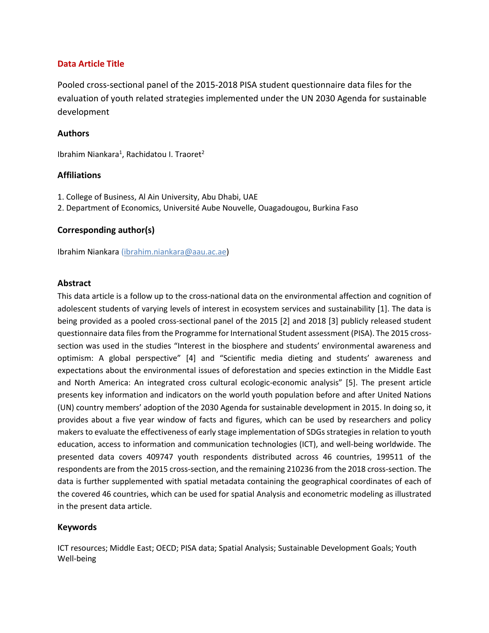## **Data Article Title**

Pooled cross-sectional panel of the 2015-2018 PISA student questionnaire data files for the evaluation of youth related strategies implemented under the UN 2030 Agenda for sustainable development

## **Authors**

Ibrahim Niankara<sup>1</sup>, Rachidatou I. Traoret<sup>2</sup>

## **Affiliations**

- 1. College of Business, Al Ain University, Abu Dhabi, UAE
- 2. Department of Economics, Université Aube Nouvelle, Ouagadougou, Burkina Faso

## **Corresponding author(s)**

Ibrahim Niankara [\(ibrahim.niankara@aau.ac.ae\)](mailto:ibrahim.niankara@aau.ac.ae)

### **Abstract**

This data article is a follow up to the cross-national data on the environmental affection and cognition of adolescent students of varying levels of interest in ecosystem services and sustainability [1]. The data is being provided as a pooled cross-sectional panel of the 2015 [2] and 2018 [3] publicly released student questionnaire data files from the Programme for International Student assessment (PISA). The 2015 crosssection was used in the studies "Interest in the biosphere and students' environmental awareness and optimism: A global perspective" [4] and "Scientific media dieting and students' awareness and expectations about the environmental issues of deforestation and species extinction in the Middle East and North America: An integrated cross cultural ecologic-economic analysis" [5]. The present article presents key information and indicators on the world youth population before and after United Nations (UN) country members' adoption of the 2030 Agenda for sustainable development in 2015. In doing so, it provides about a five year window of facts and figures, which can be used by researchers and policy makers to evaluate the effectiveness of early stage implementation of SDGs strategies in relation to youth education, access to information and communication technologies (ICT), and well-being worldwide. The presented data covers 409747 youth respondents distributed across 46 countries, 199511 of the respondents are from the 2015 cross-section, and the remaining 210236 from the 2018 cross-section. The data is further supplemented with spatial metadata containing the geographical coordinates of each of the covered 46 countries, which can be used for spatial Analysis and econometric modeling as illustrated in the present data article.

## **Keywords**

ICT resources; Middle East; OECD; PISA data; Spatial Analysis; Sustainable Development Goals; Youth Well-being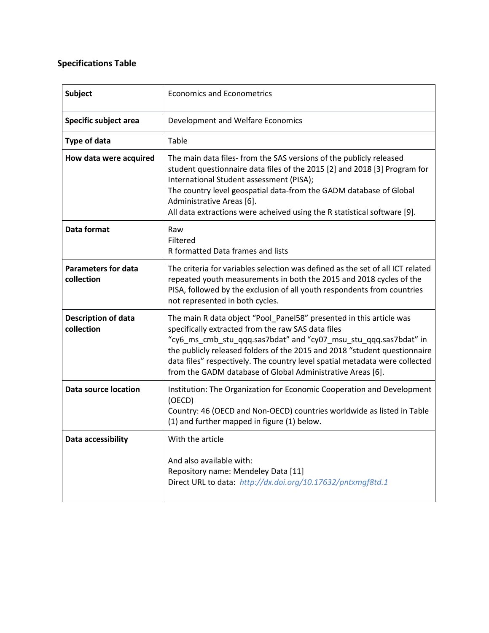# **Specifications Table**

| <b>Subject</b>                           | <b>Economics and Econometrics</b>                                                                                                                                                                                                                                                                                                                                                                                       |
|------------------------------------------|-------------------------------------------------------------------------------------------------------------------------------------------------------------------------------------------------------------------------------------------------------------------------------------------------------------------------------------------------------------------------------------------------------------------------|
| Specific subject area                    | Development and Welfare Economics                                                                                                                                                                                                                                                                                                                                                                                       |
| Type of data                             | Table                                                                                                                                                                                                                                                                                                                                                                                                                   |
| How data were acquired                   | The main data files- from the SAS versions of the publicly released<br>student questionnaire data files of the 2015 [2] and 2018 [3] Program for<br>International Student assessment (PISA);<br>The country level geospatial data-from the GADM database of Global<br>Administrative Areas [6].<br>All data extractions were acheived using the R statistical software [9].                                             |
| Data format                              | Raw<br>Filtered<br>R formatted Data frames and lists                                                                                                                                                                                                                                                                                                                                                                    |
| <b>Parameters for data</b><br>collection | The criteria for variables selection was defined as the set of all ICT related<br>repeated youth measurements in both the 2015 and 2018 cycles of the<br>PISA, followed by the exclusion of all youth respondents from countries<br>not represented in both cycles.                                                                                                                                                     |
| <b>Description of data</b><br>collection | The main R data object "Pool_Panel58" presented in this article was<br>specifically extracted from the raw SAS data files<br>"cy6_ms_cmb_stu_qqq.sas7bdat" and "cy07_msu_stu_qqq.sas7bdat" in<br>the publicly released folders of the 2015 and 2018 "student questionnaire<br>data files" respectively. The country level spatial metadata were collected<br>from the GADM database of Global Administrative Areas [6]. |
| <b>Data source location</b>              | Institution: The Organization for Economic Cooperation and Development<br>(OECD)<br>Country: 46 (OECD and Non-OECD) countries worldwide as listed in Table<br>(1) and further mapped in figure (1) below.                                                                                                                                                                                                               |
| Data accessibility                       | With the article<br>And also available with:<br>Repository name: Mendeley Data [11]<br>Direct URL to data: http://dx.doi.org/10.17632/pntxmgf8td.1                                                                                                                                                                                                                                                                      |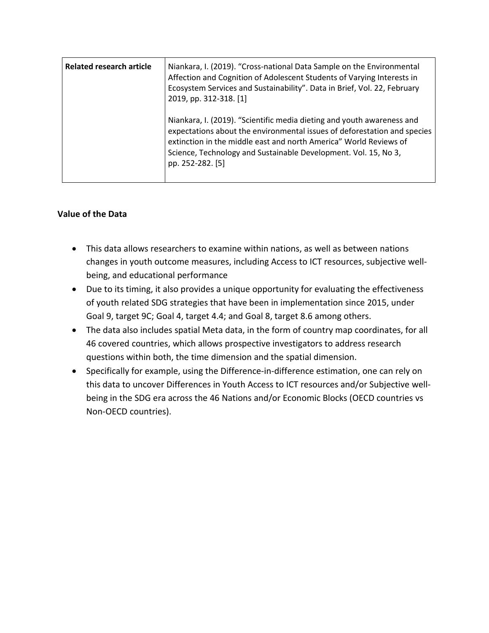| <b>Related research article</b> | Niankara, I. (2019). "Cross-national Data Sample on the Environmental<br>Affection and Cognition of Adolescent Students of Varying Interests in<br>Ecosystem Services and Sustainability". Data in Brief, Vol. 22, February<br>2019, pp. 312-318. [1]                                                          |
|---------------------------------|----------------------------------------------------------------------------------------------------------------------------------------------------------------------------------------------------------------------------------------------------------------------------------------------------------------|
|                                 | Niankara, I. (2019). "Scientific media dieting and youth awareness and<br>expectations about the environmental issues of deforestation and species<br>extinction in the middle east and north America" World Reviews of<br>Science, Technology and Sustainable Development. Vol. 15, No 3,<br>pp. 252-282. [5] |

## **Value of the Data**

- This data allows researchers to examine within nations, as well as between nations changes in youth outcome measures, including Access to ICT resources, subjective wellbeing, and educational performance
- Due to its timing, it also provides a unique opportunity for evaluating the effectiveness of youth related SDG strategies that have been in implementation since 2015, under Goal 9, target 9C; Goal 4, target 4.4; and Goal 8, target 8.6 among others.
- The data also includes spatial Meta data, in the form of country map coordinates, for all 46 covered countries, which allows prospective investigators to address research questions within both, the time dimension and the spatial dimension.
- Specifically for example, using the Difference-in-difference estimation, one can rely on this data to uncover Differences in Youth Access to ICT resources and/or Subjective wellbeing in the SDG era across the 46 Nations and/or Economic Blocks (OECD countries vs Non-OECD countries).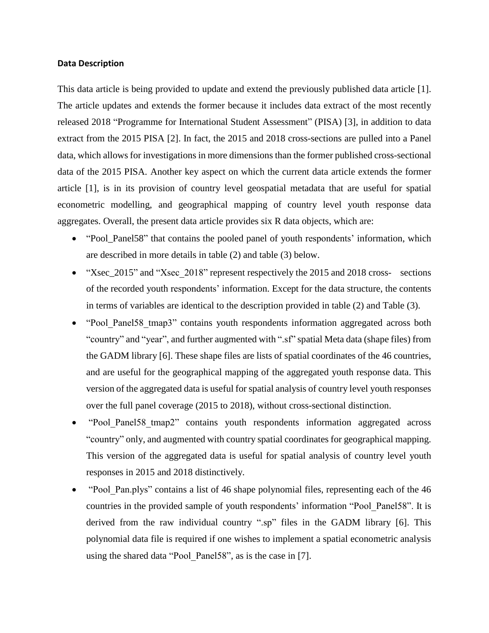#### **Data Description**

This data article is being provided to update and extend the previously published data article [1]. The article updates and extends the former because it includes data extract of the most recently released 2018 "Programme for International Student Assessment" (PISA) [3], in addition to data extract from the 2015 PISA [2]. In fact, the 2015 and 2018 cross-sections are pulled into a Panel data, which allows for investigations in more dimensions than the former published cross-sectional data of the 2015 PISA. Another key aspect on which the current data article extends the former article [1], is in its provision of country level geospatial metadata that are useful for spatial econometric modelling, and geographical mapping of country level youth response data aggregates. Overall, the present data article provides six R data objects, which are:

- "Pool Panel58" that contains the pooled panel of youth respondents' information, which are described in more details in table (2) and table (3) below.
- "Xsec 2015" and "Xsec 2018" represent respectively the 2015 and 2018 cross- sections of the recorded youth respondents' information. Except for the data structure, the contents in terms of variables are identical to the description provided in table (2) and Table (3).
- "Pool Panel58 tmap3" contains youth respondents information aggregated across both "country" and "year", and further augmented with ".sf" spatial Meta data (shape files) from the GADM library [6]. These shape files are lists of spatial coordinates of the 46 countries, and are useful for the geographical mapping of the aggregated youth response data. This version of the aggregated data is useful for spatial analysis of country level youth responses over the full panel coverage (2015 to 2018), without cross-sectional distinction.
- "Pool\_Panel58\_tmap2" contains youth respondents information aggregated across "country" only, and augmented with country spatial coordinates for geographical mapping. This version of the aggregated data is useful for spatial analysis of country level youth responses in 2015 and 2018 distinctively.
- "Pool\_Pan.plys" contains a list of 46 shape polynomial files, representing each of the 46 countries in the provided sample of youth respondents' information "Pool\_Panel58". It is derived from the raw individual country ".sp" files in the GADM library [6]. This polynomial data file is required if one wishes to implement a spatial econometric analysis using the shared data "Pool\_Panel58", as is the case in [7].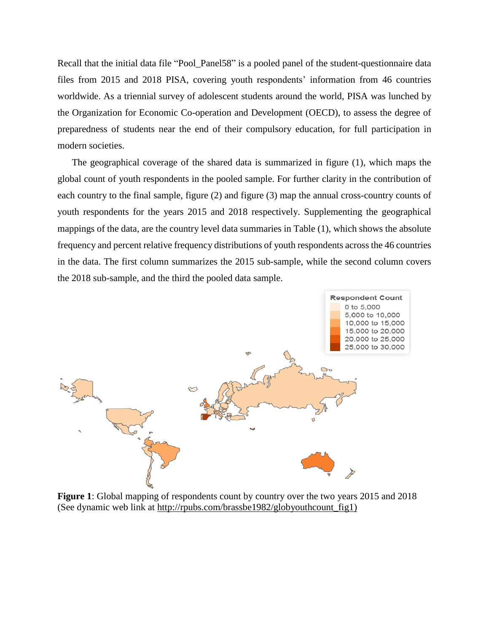Recall that the initial data file "Pool\_Panel58" is a pooled panel of the student-questionnaire data files from 2015 and 2018 PISA, covering youth respondents' information from 46 countries worldwide. As a triennial survey of adolescent students around the world, PISA was lunched by the Organization for Economic Co-operation and Development (OECD), to assess the degree of preparedness of students near the end of their compulsory education, for full participation in modern societies.

The geographical coverage of the shared data is summarized in figure (1), which maps the global count of youth respondents in the pooled sample. For further clarity in the contribution of each country to the final sample, figure (2) and figure (3) map the annual cross-country counts of youth respondents for the years 2015 and 2018 respectively. Supplementing the geographical mappings of the data, are the country level data summaries in Table (1), which shows the absolute frequency and percent relative frequency distributions of youth respondents across the 46 countries in the data. The first column summarizes the 2015 sub-sample, while the second column covers the 2018 sub-sample, and the third the pooled data sample.



**Figure 1**: Global mapping of respondents count by country over the two years 2015 and 2018 (See dynamic web link at http://rpubs.com/brassbe1982/globyouthcount fig1)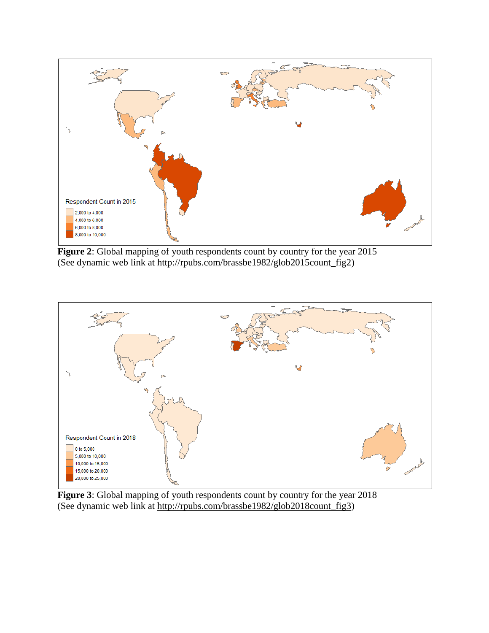

**Figure 2**: Global mapping of youth respondents count by country for the year 2015 (See dynamic web link at [http://rpubs.com/brassbe1982/glob2015count\\_fig2\)](http://rpubs.com/brassbe1982/glob2015count_fig2)



**Figure 3**: Global mapping of youth respondents count by country for the year 2018 (See dynamic web link at [http://rpubs.com/brassbe1982/glob2018count\\_fig3\)](http://rpubs.com/brassbe1982/glob2018count_fig3)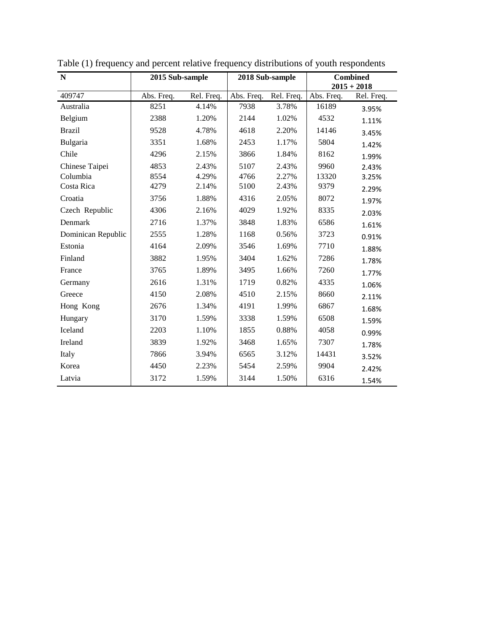| $\mathbf N$        | 2015 Sub-sample |            | 2018 Sub-sample |            | <b>Combined</b> |               |
|--------------------|-----------------|------------|-----------------|------------|-----------------|---------------|
|                    |                 |            |                 |            |                 | $2015 + 2018$ |
| 409747             | Abs. Freq.      | Rel. Freq. | Abs. Freq.      | Rel. Freq. | Abs. Freq.      | Rel. Freq.    |
| Australia          | 8251            | 4.14%      | 7938            | 3.78%      | 16189           | 3.95%         |
| Belgium            | 2388            | 1.20%      | 2144            | 1.02%      | 4532            | 1.11%         |
| <b>Brazil</b>      | 9528            | 4.78%      | 4618            | 2.20%      | 14146           | 3.45%         |
| Bulgaria           | 3351            | 1.68%      | 2453            | 1.17%      | 5804            | 1.42%         |
| Chile              | 4296            | 2.15%      | 3866            | 1.84%      | 8162            | 1.99%         |
| Chinese Taipei     | 4853            | 2.43%      | 5107            | 2.43%      | 9960            | 2.43%         |
| Columbia           | 8554            | 4.29%      | 4766            | 2.27%      | 13320           | 3.25%         |
| Costa Rica         | 4279            | 2.14%      | 5100            | 2.43%      | 9379            | 2.29%         |
| Croatia            | 3756            | 1.88%      | 4316            | 2.05%      | 8072            | 1.97%         |
| Czech Republic     | 4306            | 2.16%      | 4029            | 1.92%      | 8335            | 2.03%         |
| Denmark            | 2716            | 1.37%      | 3848            | 1.83%      | 6586            | 1.61%         |
| Dominican Republic | 2555            | 1.28%      | 1168            | 0.56%      | 3723            | 0.91%         |
| Estonia            | 4164            | 2.09%      | 3546            | 1.69%      | 7710            | 1.88%         |
| Finland            | 3882            | 1.95%      | 3404            | 1.62%      | 7286            | 1.78%         |
| France             | 3765            | 1.89%      | 3495            | 1.66%      | 7260            | 1.77%         |
| Germany            | 2616            | 1.31%      | 1719            | 0.82%      | 4335            | 1.06%         |
| Greece             | 4150            | 2.08%      | 4510            | 2.15%      | 8660            | 2.11%         |
| Hong Kong          | 2676            | 1.34%      | 4191            | 1.99%      | 6867            | 1.68%         |
| Hungary            | 3170            | 1.59%      | 3338            | 1.59%      | 6508            | 1.59%         |
| Iceland            | 2203            | 1.10%      | 1855            | 0.88%      | 4058            | 0.99%         |
| Ireland            | 3839            | 1.92%      | 3468            | 1.65%      | 7307            | 1.78%         |
| Italy              | 7866            | 3.94%      | 6565            | 3.12%      | 14431           | 3.52%         |
| Korea              | 4450            | 2.23%      | 5454            | 2.59%      | 9904            | 2.42%         |
| Latvia             | 3172            | 1.59%      | 3144            | 1.50%      | 6316            | 1.54%         |

Table (1) frequency and percent relative frequency distributions of youth respondents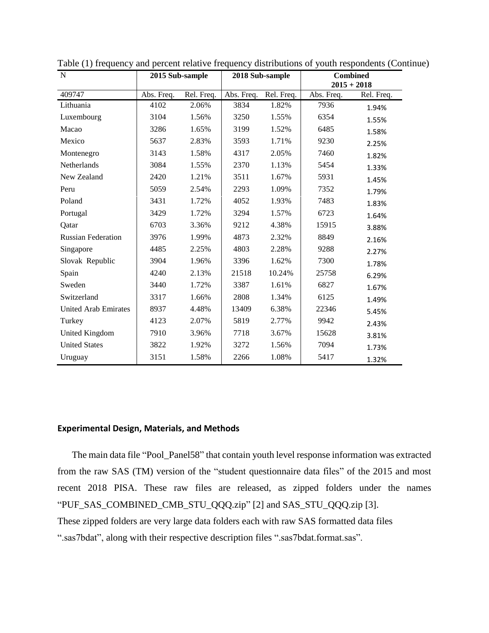| N                           |            | 2015 Sub-sample<br>2018 Sub-sample |            |            | <b>Combined</b> |            |
|-----------------------------|------------|------------------------------------|------------|------------|-----------------|------------|
|                             |            |                                    |            |            | $2015 + 2018$   |            |
| 409747                      | Abs. Freq. | Rel. Freq.                         | Abs. Freq. | Rel. Freq. | Abs. Freq.      | Rel. Freq. |
| Lithuania                   | 4102       | 2.06%                              | 3834       | 1.82%      | 7936            | 1.94%      |
| Luxembourg                  | 3104       | 1.56%                              | 3250       | 1.55%      | 6354            | 1.55%      |
| Macao                       | 3286       | 1.65%                              | 3199       | 1.52%      | 6485            | 1.58%      |
| Mexico                      | 5637       | 2.83%                              | 3593       | 1.71%      | 9230            | 2.25%      |
| Montenegro                  | 3143       | 1.58%                              | 4317       | 2.05%      | 7460            | 1.82%      |
| Netherlands                 | 3084       | 1.55%                              | 2370       | 1.13%      | 5454            | 1.33%      |
| New Zealand                 | 2420       | 1.21%                              | 3511       | 1.67%      | 5931            | 1.45%      |
| Peru                        | 5059       | 2.54%                              | 2293       | 1.09%      | 7352            | 1.79%      |
| Poland                      | 3431       | 1.72%                              | 4052       | 1.93%      | 7483            | 1.83%      |
| Portugal                    | 3429       | 1.72%                              | 3294       | 1.57%      | 6723            | 1.64%      |
| Oatar                       | 6703       | 3.36%                              | 9212       | 4.38%      | 15915           | 3.88%      |
| <b>Russian Federation</b>   | 3976       | 1.99%                              | 4873       | 2.32%      | 8849            | 2.16%      |
| Singapore                   | 4485       | 2.25%                              | 4803       | 2.28%      | 9288            | 2.27%      |
| Slovak Republic             | 3904       | 1.96%                              | 3396       | 1.62%      | 7300            | 1.78%      |
| Spain                       | 4240       | 2.13%                              | 21518      | 10.24%     | 25758           | 6.29%      |
| Sweden                      | 3440       | 1.72%                              | 3387       | 1.61%      | 6827            | 1.67%      |
| Switzerland                 | 3317       | 1.66%                              | 2808       | 1.34%      | 6125            | 1.49%      |
| <b>United Arab Emirates</b> | 8937       | 4.48%                              | 13409      | 6.38%      | 22346           | 5.45%      |
| Turkey                      | 4123       | 2.07%                              | 5819       | 2.77%      | 9942            | 2.43%      |
| United Kingdom              | 7910       | 3.96%                              | 7718       | 3.67%      | 15628           | 3.81%      |
| <b>United States</b>        | 3822       | 1.92%                              | 3272       | 1.56%      | 7094            | 1.73%      |
| Uruguay                     | 3151       | 1.58%                              | 2266       | 1.08%      | 5417            | 1.32%      |

Table (1) frequency and percent relative frequency distributions of youth respondents (Continue)

## **Experimental Design, Materials, and Methods**

The main data file "Pool\_Panel58" that contain youth level response information was extracted from the raw SAS (TM) version of the "student questionnaire data files" of the 2015 and most recent 2018 PISA. These raw files are released, as zipped folders under the names "PUF\_SAS\_COMBINED\_CMB\_STU\_QQQ.zip" [2] and SAS\_STU\_QQQ.zip [3]. These zipped folders are very large data folders each with raw SAS formatted data files ".sas7bdat", along with their respective description files ".sas7bdat.format.sas".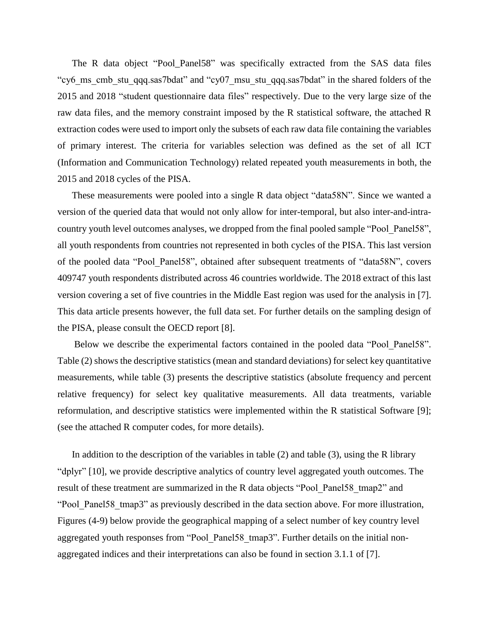The R data object "Pool\_Panel58" was specifically extracted from the SAS data files "cy6 ms cmb stu qqq.sas7bdat" and "cy07 msu stu qqq.sas7bdat" in the shared folders of the 2015 and 2018 "student questionnaire data files" respectively. Due to the very large size of the raw data files, and the memory constraint imposed by the R statistical software, the attached R extraction codes were used to import only the subsets of each raw data file containing the variables of primary interest. The criteria for variables selection was defined as the set of all ICT (Information and Communication Technology) related repeated youth measurements in both, the 2015 and 2018 cycles of the PISA.

These measurements were pooled into a single R data object "data58N". Since we wanted a version of the queried data that would not only allow for inter-temporal, but also inter-and-intracountry youth level outcomes analyses, we dropped from the final pooled sample "Pool\_Panel58", all youth respondents from countries not represented in both cycles of the PISA. This last version of the pooled data "Pool\_Panel58", obtained after subsequent treatments of "data58N", covers 409747 youth respondents distributed across 46 countries worldwide. The 2018 extract of this last version covering a set of five countries in the Middle East region was used for the analysis in [7]. This data article presents however, the full data set. For further details on the sampling design of the PISA, please consult the OECD report [8].

Below we describe the experimental factors contained in the pooled data "Pool Panel58". Table (2) shows the descriptive statistics (mean and standard deviations) for select key quantitative measurements, while table (3) presents the descriptive statistics (absolute frequency and percent relative frequency) for select key qualitative measurements. All data treatments, variable reformulation, and descriptive statistics were implemented within the R statistical Software [9]; (see the attached R computer codes, for more details).

In addition to the description of the variables in table (2) and table (3), using the R library "dplyr" [10], we provide descriptive analytics of country level aggregated youth outcomes. The result of these treatment are summarized in the R data objects "Pool\_Panel58\_tmap2" and "Pool Panel58 tmap3" as previously described in the data section above. For more illustration, Figures (4-9) below provide the geographical mapping of a select number of key country level aggregated youth responses from "Pool\_Panel58\_tmap3". Further details on the initial nonaggregated indices and their interpretations can also be found in section 3.1.1 of [7].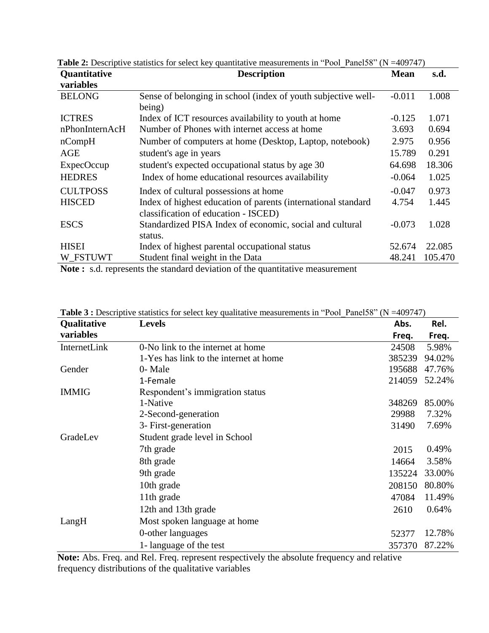| <b>Quantitative</b> | <b>Description</b>                                                                                                                                               | <b>Mean</b> | s.d.    |
|---------------------|------------------------------------------------------------------------------------------------------------------------------------------------------------------|-------------|---------|
| variables           |                                                                                                                                                                  |             |         |
| <b>BELONG</b>       | Sense of belonging in school (index of youth subjective well-                                                                                                    | $-0.011$    | 1.008   |
|                     | being)                                                                                                                                                           |             |         |
| <b>ICTRES</b>       | Index of ICT resources availability to youth at home                                                                                                             | $-0.125$    | 1.071   |
| nPhonInternAcH      | Number of Phones with internet access at home                                                                                                                    | 3.693       | 0.694   |
| nCompH              | Number of computers at home (Desktop, Laptop, notebook)                                                                                                          | 2.975       | 0.956   |
| <b>AGE</b>          | student's age in years                                                                                                                                           | 15.789      | 0.291   |
| <b>ExpecOccup</b>   | student's expected occupational status by age 30                                                                                                                 | 64.698      | 18.306  |
| <b>HEDRES</b>       | Index of home educational resources availability                                                                                                                 | $-0.064$    | 1.025   |
| <b>CULTPOSS</b>     | Index of cultural possessions at home                                                                                                                            | $-0.047$    | 0.973   |
| <b>HISCED</b>       | Index of highest education of parents (international standard                                                                                                    | 4.754       | 1.445   |
|                     | classification of education - ISCED)                                                                                                                             |             |         |
| <b>ESCS</b>         | Standardized PISA Index of economic, social and cultural                                                                                                         | $-0.073$    | 1.028   |
|                     | status.                                                                                                                                                          |             |         |
| <b>HISEI</b>        | Index of highest parental occupational status                                                                                                                    | 52.674      | 22.085  |
| W FSTUWT            | Student final weight in the Data                                                                                                                                 | 48.241      | 105.470 |
|                     | $\mathbf{M}$ , and $\mathbf{M}$ is a second on the contract of the starting $\mathbf{C}$ then account of the second contract of the second starting $\mathbf{M}$ |             |         |

**Table 2:** Descriptive statistics for select key quantitative measurements in "Pool Panel58" (N =409747)

**Note :** s.d. represents the standard deviation of the quantitative measurement

| Qualitative  | <b>Levels</b>                          | Abs.   | Rel.   |
|--------------|----------------------------------------|--------|--------|
| variables    |                                        | Freq.  | Freq.  |
| InternetLink | 0-No link to the internet at home      | 24508  | 5.98%  |
|              | 1-Yes has link to the internet at home | 385239 | 94.02% |
| Gender       | 0- Male                                | 195688 | 47.76% |
|              | 1-Female                               | 214059 | 52.24% |
| <b>IMMIG</b> | Respondent's immigration status        |        |        |
|              | 1-Native                               | 348269 | 85.00% |
|              | 2-Second-generation                    | 29988  | 7.32%  |
|              | 3- First-generation                    | 31490  | 7.69%  |
| GradeLev     | Student grade level in School          |        |        |
|              | 7th grade                              | 2015   | 0.49%  |
|              | 8th grade                              | 14664  | 3.58%  |
|              | 9th grade                              | 135224 | 33.00% |
|              | 10th grade                             | 208150 | 80.80% |
|              | 11th grade                             | 47084  | 11.49% |
|              | 12th and 13th grade                    | 2610   | 0.64%  |
| LangH        | Most spoken language at home           |        |        |
|              | 0-other languages                      | 52377  | 12.78% |
|              | 1- language of the test                | 357370 | 87.22% |

**Table 3 :** Descriptive statistics for select key qualitative measurements in "Pool\_Panel58" (N =409747)

**Note:** Abs. Freq. and Rel. Freq. represent respectively the absolute frequency and relative frequency distributions of the qualitative variables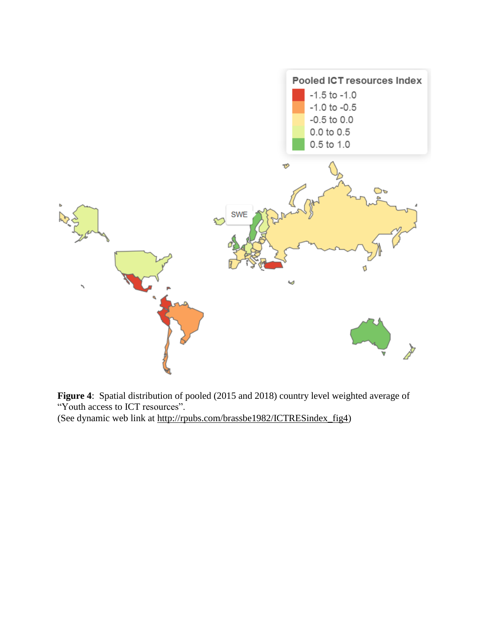

**Figure 4**: Spatial distribution of pooled (2015 and 2018) country level weighted average of "Youth access to ICT resources".

(See dynamic web link at [http://rpubs.com/brassbe1982/ICTRESindex\\_fig4\)](http://rpubs.com/brassbe1982/ICTRESindex_fig4)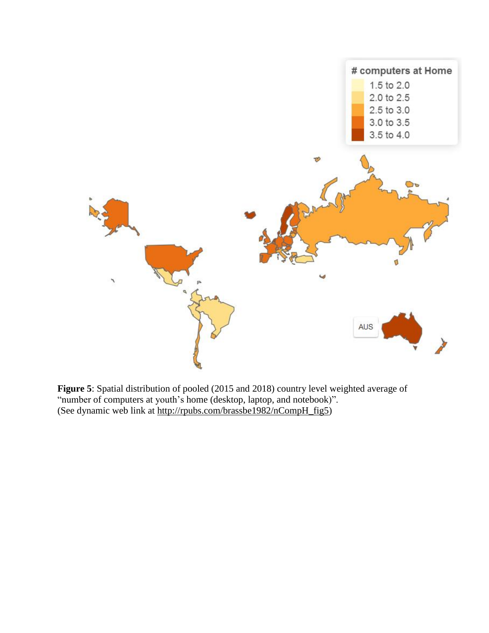

**Figure 5**: Spatial distribution of pooled (2015 and 2018) country level weighted average of "number of computers at youth's home (desktop, laptop, and notebook)". (See dynamic web link at [http://rpubs.com/brassbe1982/nCompH\\_fig5\)](http://rpubs.com/brassbe1982/nCompH_fig5)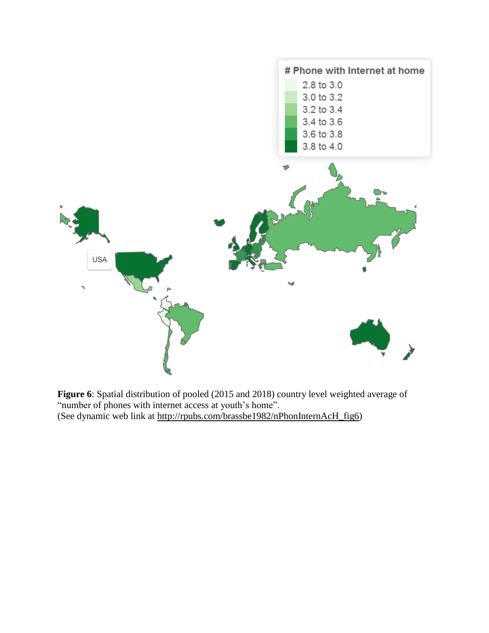

**Figure 6**: Spatial distribution of pooled (2015 and 2018) country level weighted average of "number of phones with internet access at youth's home". (See dynamic web link at [http://rpubs.com/brassbe1982/nPhonInternAcH\\_fig6\)](http://rpubs.com/brassbe1982/nPhonInternAcH_fig6)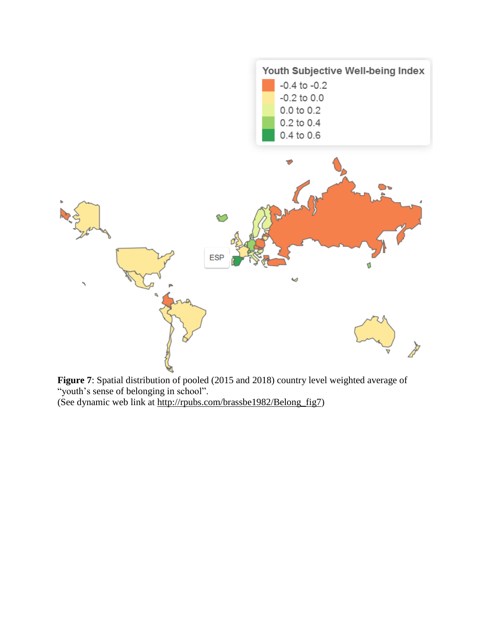

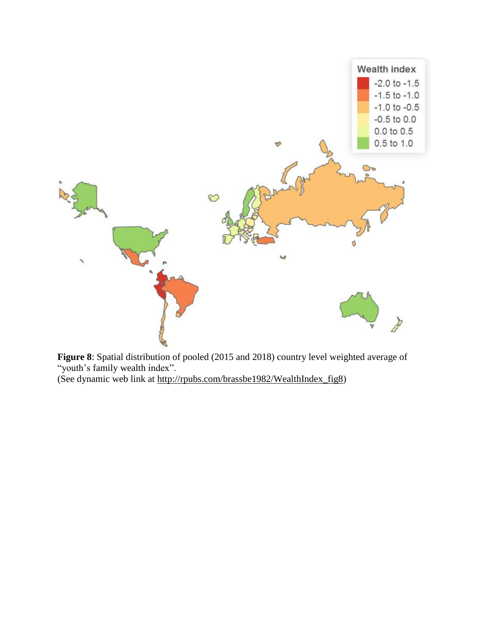

**Figure 8**: Spatial distribution of pooled (2015 and 2018) country level weighted average of "youth's family wealth index".

(See dynamic web link at [http://rpubs.com/brassbe1982/WealthIndex\\_fig8\)](http://rpubs.com/brassbe1982/WealthIndex_fig8)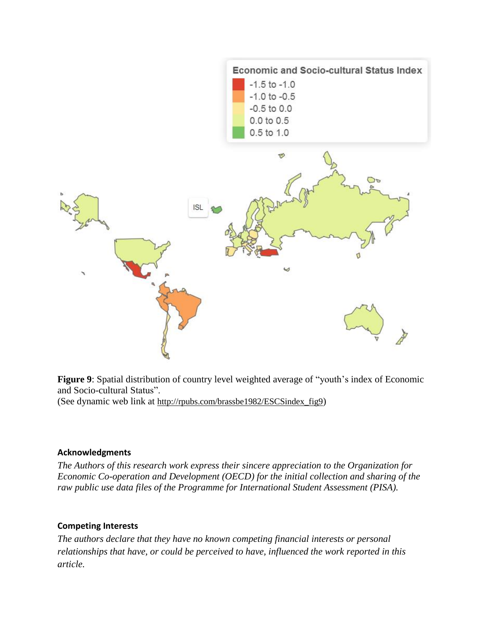![](_page_15_Figure_0.jpeg)

**Figure 9**: Spatial distribution of country level weighted average of "youth's index of Economic and Socio-cultural Status".

(See dynamic web link at [http://rpubs.com/brassbe1982/ESCSindex\\_fig9](http://rpubs.com/brassbe1982/ESCSindex_fig9))

## **Acknowledgments**

*The Authors of this research work express their sincere appreciation to the Organization for Economic Co-operation and Development (OECD) for the initial collection and sharing of the raw public use data files of the Programme for International Student Assessment (PISA).*

## **Competing Interests**

*The authors declare that they have no known competing financial interests or personal relationships that have, or could be perceived to have, influenced the work reported in this article.*